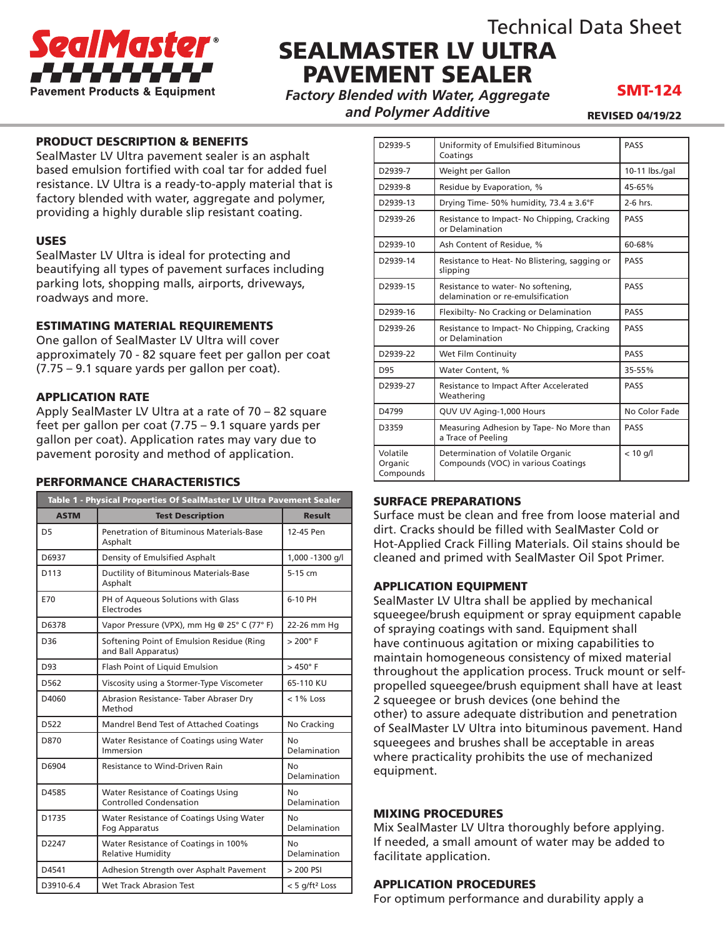

## Technical Data Sheet SEALMASTER LV ULTRA PAVEMENT SEALER

*Factory Blended with Water, Aggregate and Polymer Additive*

### SMT-124

REVISED 04/19/22

#### PRODUCT DESCRIPTION & BENEFITS

SealMaster LV Ultra pavement sealer is an asphalt based emulsion fortified with coal tar for added fuel resistance. LV Ultra is a ready-to-apply material that is factory blended with water, aggregate and polymer, providing a highly durable slip resistant coating.

#### USES

SealMaster LV Ultra is ideal for protecting and beautifying all types of pavement surfaces including parking lots, shopping malls, airports, driveways, roadways and more.

#### ESTIMATING MATERIAL REQUIREMENTS

One gallon of SealMaster LV Ultra will cover approximately 70 - 82 square feet per gallon per coat (7.75 – 9.1 square yards per gallon per coat).

#### APPLICATION RATE

Apply SealMaster LV Ultra at a rate of 70 – 82 square feet per gallon per coat (7.75 – 9.1 square yards per gallon per coat). Application rates may vary due to pavement porosity and method of application.

#### PERFORMANCE CHARACTERISTICS

| Table 1 - Physical Properties Of SealMaster LV Ultra Pavement Sealer |                                                                      |                            |
|----------------------------------------------------------------------|----------------------------------------------------------------------|----------------------------|
| <b>ASTM</b>                                                          | <b>Test Description</b>                                              | <b>Result</b>              |
| D5                                                                   | Penetration of Bituminous Materials-Base<br>Asphalt                  | 12-45 Pen                  |
| D6937                                                                | Density of Emulsified Asphalt                                        | 1,000 -1300 g/l            |
| D113                                                                 | Ductility of Bituminous Materials-Base<br>Asphalt                    | $5-15$ cm                  |
| E70                                                                  | PH of Aqueous Solutions with Glass<br>Electrodes                     | 6-10 PH                    |
| D6378                                                                | Vapor Pressure (VPX), mm Hg @ 25° C (77° F)                          | 22-26 mm Hq                |
| D <sub>36</sub>                                                      | Softening Point of Emulsion Residue (Ring<br>and Ball Apparatus)     | $> 200^\circ$ F            |
| D93                                                                  | Flash Point of Liquid Emulsion                                       | $>450^\circ$ F             |
| D562                                                                 | Viscosity using a Stormer-Type Viscometer                            | 65-110 KU                  |
| D4060                                                                | Abrasion Resistance- Taber Abraser Dry<br>Method                     | $< 1\%$ Loss               |
| D522                                                                 | Mandrel Bend Test of Attached Coatings                               | No Cracking                |
| D870                                                                 | Water Resistance of Coatings using Water<br>Immersion                | No<br>Delamination         |
| D6904                                                                | Resistance to Wind-Driven Rain                                       | No<br>Delamination         |
| D4585                                                                | Water Resistance of Coatings Using<br><b>Controlled Condensation</b> | No<br>Delamination         |
| D1735                                                                | Water Resistance of Coatings Using Water<br>Fog Apparatus            | N٥<br>Delamination         |
| D2247                                                                | Water Resistance of Coatings in 100%<br><b>Relative Humidity</b>     | N٥<br>Delamination         |
| D4541                                                                | Adhesion Strength over Asphalt Pavement                              | > 200 PSI                  |
| D3910-6.4                                                            | Wet Track Abrasion Test                                              | < 5 g/ft <sup>2</sup> Loss |

| D2939-5                          | Uniformity of Emulsified Bituminous<br>Coatings                          | PASS           |
|----------------------------------|--------------------------------------------------------------------------|----------------|
| D2939-7                          | Weight per Gallon                                                        | 10-11 lbs./gal |
| D2939-8                          | Residue by Evaporation, %                                                | 45-65%         |
| D2939-13                         | Drying Time- 50% humidity, $73.4 \pm 3.6^{\circ}F$                       | $2-6$ hrs.     |
| D2939-26                         | Resistance to Impact- No Chipping, Cracking<br>or Delamination           | PASS           |
| D2939-10                         | Ash Content of Residue, %                                                | 60-68%         |
| D2939-14                         | Resistance to Heat-No Blistering, sagging or<br>slipping                 | <b>PASS</b>    |
| D2939-15                         | Resistance to water- No softening,<br>delamination or re-emulsification  | PASS           |
| D2939-16                         | Flexibilty- No Cracking or Delamination                                  | PASS           |
| D2939-26                         | Resistance to Impact- No Chipping, Cracking<br>or Delamination           | PASS           |
| D2939-22                         | Wet Film Continuity                                                      | PASS           |
| D95                              | Water Content. %                                                         | 35-55%         |
| D2939-27                         | Resistance to Impact After Accelerated<br>Weathering                     | PASS           |
| D4799                            | QUV UV Aging-1,000 Hours                                                 | No Color Fade  |
| D3359                            | Measuring Adhesion by Tape- No More than<br>a Trace of Peeling           | PASS           |
| Volatile<br>Organic<br>Compounds | Determination of Volatile Organic<br>Compounds (VOC) in various Coatings | $< 10$ g/l     |

#### SURFACE PREPARATIONS

Surface must be clean and free from loose material and dirt. Cracks should be filled with SealMaster Cold or Hot-Applied Crack Filling Materials. Oil stains should be cleaned and primed with SealMaster Oil Spot Primer.

#### APPLICATION EQUIPMENT

SealMaster LV Ultra shall be applied by mechanical squeegee/brush equipment or spray equipment capable of spraying coatings with sand. Equipment shall have continuous agitation or mixing capabilities to maintain homogeneous consistency of mixed material throughout the application process. Truck mount or selfpropelled squeegee/brush equipment shall have at least 2 squeegee or brush devices (one behind the other) to assure adequate distribution and penetration of SealMaster LV Ultra into bituminous pavement. Hand squeegees and brushes shall be acceptable in areas where practicality prohibits the use of mechanized equipment.

#### MIXING PROCEDURES

Mix SealMaster LV Ultra thoroughly before applying. If needed, a small amount of water may be added to facilitate application.

#### APPLICATION PROCEDURES

For optimum performance and durability apply a